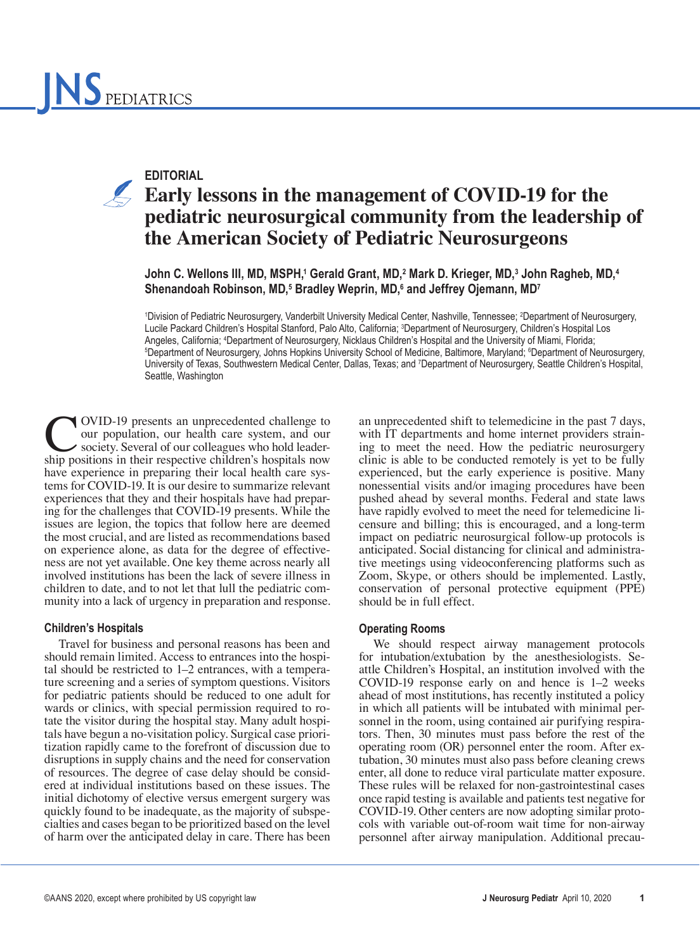

# **EDITORIAL Early lessons in the management of COVID-19 for the pediatric neurosurgical community from the leadership of the American Society of Pediatric Neurosurgeons**

John C. Wellons III, MD, MSPH,<sup>1</sup> Gerald Grant, MD,<sup>2</sup> Mark D. Krieger, MD,<sup>3</sup> John Ragheb, MD,<sup>4</sup> Shenandoah Robinson, MD,<sup>5</sup> Bradley Weprin, MD,<sup>6</sup> and Jeffrey Ojemann, MD<sup>7</sup>

<sup>1</sup>Division of Pediatric Neurosurgery, Vanderbilt University Medical Center, Nashville, Tennessee; <sup>2</sup>Department of Neurosurgery, Lucile Packard Children's Hospital Stanford, Palo Alto, California; 3 Department of Neurosurgery, Children's Hospital Los Angeles, California; <del>'</del>Department of Neurosurgery, Nicklaus Children's Hospital and the University of Miami, Florida;<br><sup>5</sup>Department of Neurosurgery, Johns Honkins University School of Medicine, Baltimore, Maryland: 'Depar Department of Neurosurgery, Johns Hopkins University School of Medicine, Baltimore, Maryland; <sup>6</sup>Department of Neurosurgery, University of Texas, Southwestern Medical Center, Dallas, Texas; and 7Department of Neurosurgery, Seattle Children's Hospital, Seattle, Washington

**COVID-19** presents an unprecedented challenge to our population, our health care system, and our society. Several of our colleagues who hold leadership positions in their respective children's hospitals now our population, our health care system, and our society. Several of our colleagues who hold leadership positions in their respective children's hospitals now have experience in preparing their local health care systems for COVID-19. It is our desire to summarize relevant experiences that they and their hospitals have had preparing for the challenges that COVID-19 presents. While the issues are legion, the topics that follow here are deemed the most crucial, and are listed as recommendations based on experience alone, as data for the degree of effectiveness are not yet available. One key theme across nearly all involved institutions has been the lack of severe illness in children to date, and to not let that lull the pediatric community into a lack of urgency in preparation and response.

## **Children's Hospitals**

Travel for business and personal reasons has been and should remain limited. Access to entrances into the hospital should be restricted to 1–2 entrances, with a temperature screening and a series of symptom questions. Visitors for pediatric patients should be reduced to one adult for wards or clinics, with special permission required to rotate the visitor during the hospital stay. Many adult hospitals have begun a no-visitation policy. Surgical case prioritization rapidly came to the forefront of discussion due to disruptions in supply chains and the need for conservation of resources. The degree of case delay should be considered at individual institutions based on these issues. The initial dichotomy of elective versus emergent surgery was quickly found to be inadequate, as the majority of subspecialties and cases began to be prioritized based on the level of harm over the anticipated delay in care. There has been an unprecedented shift to telemedicine in the past 7 days, with IT departments and home internet providers straining to meet the need. How the pediatric neurosurgery clinic is able to be conducted remotely is yet to be fully experienced, but the early experience is positive. Many nonessential visits and/or imaging procedures have been pushed ahead by several months. Federal and state laws have rapidly evolved to meet the need for telemedicine licensure and billing; this is encouraged, and a long-term impact on pediatric neurosurgical follow-up protocols is anticipated. Social distancing for clinical and administrative meetings using videoconferencing platforms such as Zoom, Skype, or others should be implemented. Lastly, conservation of personal protective equipment (PPE) should be in full effect.

## **Operating Rooms**

We should respect airway management protocols for intubation/extubation by the anesthesiologists. Seattle Children's Hospital, an institution involved with the COVID-19 response early on and hence is 1–2 weeks ahead of most institutions, has recently instituted a policy in which all patients will be intubated with minimal personnel in the room, using contained air purifying respirators. Then, 30 minutes must pass before the rest of the operating room (OR) personnel enter the room. After extubation, 30 minutes must also pass before cleaning crews enter, all done to reduce viral particulate matter exposure. These rules will be relaxed for non-gastrointestinal cases once rapid testing is available and patients test negative for COVID-19. Other centers are now adopting similar protocols with variable out-of-room wait time for non-airway personnel after airway manipulation. Additional precau-